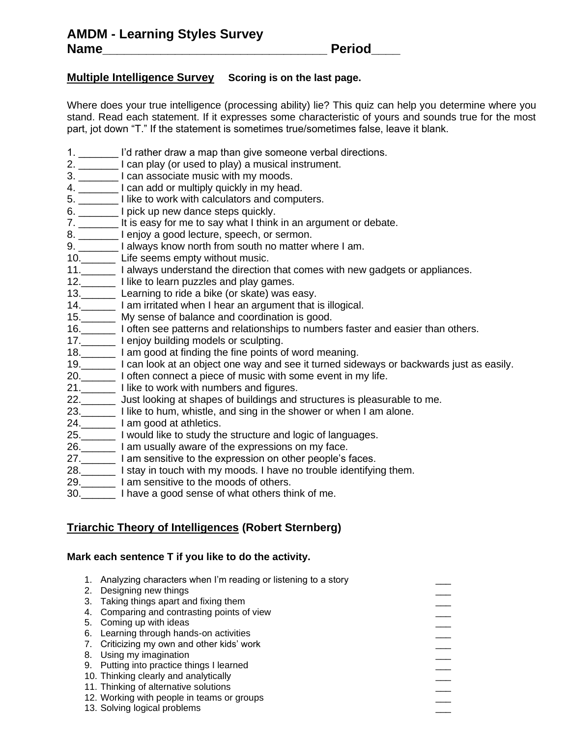## **Multiple Intelligence Survey Scoring is on the last page.**

Where does your true intelligence (processing ability) lie? This quiz can help you determine where you stand. Read each statement. If it expresses some characteristic of yours and sounds true for the most part, jot down "T." If the statement is sometimes true/sometimes false, leave it blank.

- 1. \_\_\_\_\_\_\_ I'd rather draw a map than give someone verbal directions.
- 2. \_\_\_\_\_\_\_ I can play (or used to play) a musical instrument.
- 3. \_\_\_\_\_\_\_ I can associate music with my moods.
- 4. \_\_\_\_\_\_\_\_ I can add or multiply quickly in my head.
- 5. \_\_\_\_\_\_\_ I like to work with calculators and computers.
- 6. \_\_\_\_\_\_\_ I pick up new dance steps quickly.
- 7. \_\_\_\_\_\_\_ It is easy for me to say what I think in an argument or debate.
- 8. \_\_\_\_\_\_\_\_ I enjoy a good lecture, speech, or sermon.
- 9. \_\_\_\_\_\_\_ I always know north from south no matter where I am.
- 10.\_\_\_\_\_\_ Life seems empty without music.
- 11.\_\_\_\_\_\_ I always understand the direction that comes with new gadgets or appliances.
- 12.\_\_\_\_\_\_\_ I like to learn puzzles and play games.
- 13.\_\_\_\_\_\_ Learning to ride a bike (or skate) was easy.
- 14.\_\_\_\_\_\_ I am irritated when I hear an argument that is illogical.
- 15.\_\_\_\_\_\_ My sense of balance and coordination is good.
- 16.\_\_\_\_\_\_ I often see patterns and relationships to numbers faster and easier than others.
- 17.\_\_\_\_\_\_\_ I enjoy building models or sculpting.
- 18.\_\_\_\_\_\_ I am good at finding the fine points of word meaning.
- 19.\_\_\_\_\_\_ I can look at an object one way and see it turned sideways or backwards just as easily.
- 20.\_\_\_\_\_\_ I often connect a piece of music with some event in my life.
- 21.\_\_\_\_\_\_\_\_ I like to work with numbers and figures.
- 22.\_\_\_\_\_\_ Just looking at shapes of buildings and structures is pleasurable to me.
- 23.\_\_\_\_\_\_ I like to hum, whistle, and sing in the shower or when I am alone.
- 24.\_\_\_\_\_\_ I am good at athletics.
- 25.\_\_\_\_\_\_ I would like to study the structure and logic of languages.
- 26.\_\_\_\_\_\_ I am usually aware of the expressions on my face.
- 27.\_\_\_\_\_\_ I am sensitive to the expression on other people's faces.
- 28.\_\_\_\_\_\_ I stay in touch with my moods. I have no trouble identifying them.
- 29.\_\_\_\_\_\_ I am sensitive to the moods of others.
- 30.\_\_\_\_\_\_ I have a good sense of what others think of me.

## **Triarchic Theory of Intelligences (Robert Sternberg)**

### **Mark each sentence T if you like to do the activity.**

1. Analyzing characters when I'm reading or listening to a story<br>
2. Designing new things<br>
3. Taking things apart and fixing them<br>
4. Comparing and contrasting points of view<br>
5. Coming up with ideas<br>
6. Learning through h 2. Designing new things 3. Taking things apart and fixing them 4. Comparing and contrasting points of view 5. Coming up with ideas 6. Learning through hands-on activities 7. Criticizing my own and other kids' work 8. Using my imagination 9. Putting into practice things I learned 10. Thinking clearly and analytically 11. Thinking of alternative solutions 12. Working with people in teams or groups 13. Solving logical problems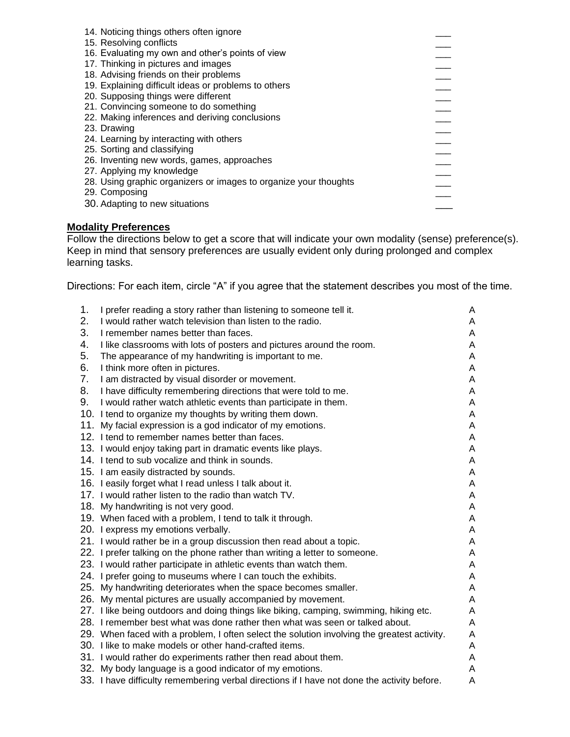| 14. Noticing things others often ignore                          |  |
|------------------------------------------------------------------|--|
| 15. Resolving conflicts                                          |  |
| 16. Evaluating my own and other's points of view                 |  |
| 17. Thinking in pictures and images                              |  |
| 18. Advising friends on their problems                           |  |
| 19. Explaining difficult ideas or problems to others             |  |
| 20. Supposing things were different                              |  |
| 21. Convincing someone to do something                           |  |
| 22. Making inferences and deriving conclusions                   |  |
| 23. Drawing                                                      |  |
| 24. Learning by interacting with others                          |  |
| 25. Sorting and classifying                                      |  |
| 26. Inventing new words, games, approaches                       |  |
| 27. Applying my knowledge                                        |  |
| 28. Using graphic organizers or images to organize your thoughts |  |
| 29. Composing                                                    |  |
| 30. Adapting to new situations                                   |  |
|                                                                  |  |

# **Modality Preferences**

Follow the directions below to get a score that will indicate your own modality (sense) preference(s). Keep in mind that sensory preferences are usually evident only during prolonged and complex learning tasks.

Directions: For each item, circle "A" if you agree that the statement describes you most of the time.

| 1. | I prefer reading a story rather than listening to someone tell it.                          | A |
|----|---------------------------------------------------------------------------------------------|---|
| 2. | I would rather watch television than listen to the radio.                                   | A |
| 3. | I remember names better than faces.                                                         | A |
| 4. | I like classrooms with lots of posters and pictures around the room.                        | A |
| 5. | The appearance of my handwriting is important to me.                                        | A |
| 6. | I think more often in pictures.                                                             | A |
| 7. | I am distracted by visual disorder or movement.                                             | A |
| 8. | I have difficulty remembering directions that were told to me.                              | A |
| 9. | I would rather watch athletic events than participate in them.                              | A |
|    | 10. I tend to organize my thoughts by writing them down.                                    | A |
|    | 11. My facial expression is a god indicator of my emotions.                                 | A |
|    | 12. I tend to remember names better than faces.                                             | A |
|    | 13. I would enjoy taking part in dramatic events like plays.                                | A |
|    | 14. I tend to sub vocalize and think in sounds.                                             | A |
|    | 15. I am easily distracted by sounds.                                                       | A |
|    | 16. I easily forget what I read unless I talk about it.                                     | A |
|    | 17. I would rather listen to the radio than watch TV.                                       | A |
|    | 18. My handwriting is not very good.                                                        | A |
|    | 19. When faced with a problem, I tend to talk it through.                                   | A |
|    | 20. I express my emotions verbally.                                                         | A |
|    | 21. I would rather be in a group discussion then read about a topic.                        | A |
|    | 22. I prefer talking on the phone rather than writing a letter to someone.                  | A |
|    | 23. I would rather participate in athletic events than watch them.                          | A |
|    | 24. I prefer going to museums where I can touch the exhibits.                               | A |
|    | 25. My handwriting deteriorates when the space becomes smaller.                             | A |
|    | 26. My mental pictures are usually accompanied by movement.                                 | A |
|    | 27. I like being outdoors and doing things like biking, camping, swimming, hiking etc.      | A |
|    | 28. I remember best what was done rather then what was seen or talked about.                | A |
|    | 29. When faced with a problem, I often select the solution involving the greatest activity. | A |
|    | 30. I like to make models or other hand-crafted items.                                      | A |
|    | 31. I would rather do experiments rather then read about them.                              | A |
|    | 32. My body language is a good indicator of my emotions.                                    | A |
|    | 33. I have difficulty remembering verbal directions if I have not done the activity before. | Α |